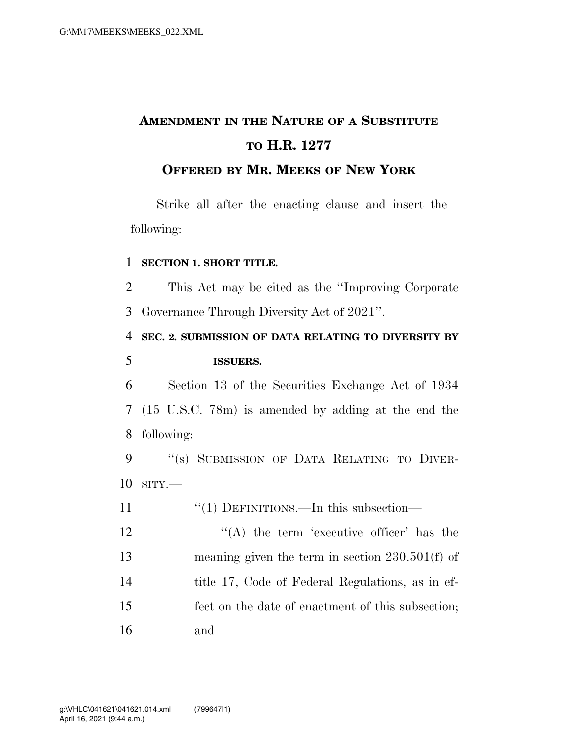# **AMENDMENT IN THE NATURE OF A SUBSTITUTE TO H.R. 1277**

### **OFFERED BY MR. MEEKS OF NEW YORK**

Strike all after the enacting clause and insert the following:

#### 1 **SECTION 1. SHORT TITLE.**

2 This Act may be cited as the ''Improving Corporate 3 Governance Through Diversity Act of 2021''.

# 4 **SEC. 2. SUBMISSION OF DATA RELATING TO DIVERSITY BY**  5 **ISSUERS.**

6 Section 13 of the Securities Exchange Act of 1934 7 (15 U.S.C. 78m) is amended by adding at the end the 8 following:

9 "(s) SUBMISSION OF DATA RELATING TO DIVER-10 SITY.—

- 11 ''(1) DEFINITIONS.—In this subsection—
- $'$ (A) the term 'executive officer' has the 13 meaning given the term in section 230.501(f) of 14 title 17, Code of Federal Regulations, as in ef-15 fect on the date of enactment of this subsection; 16 and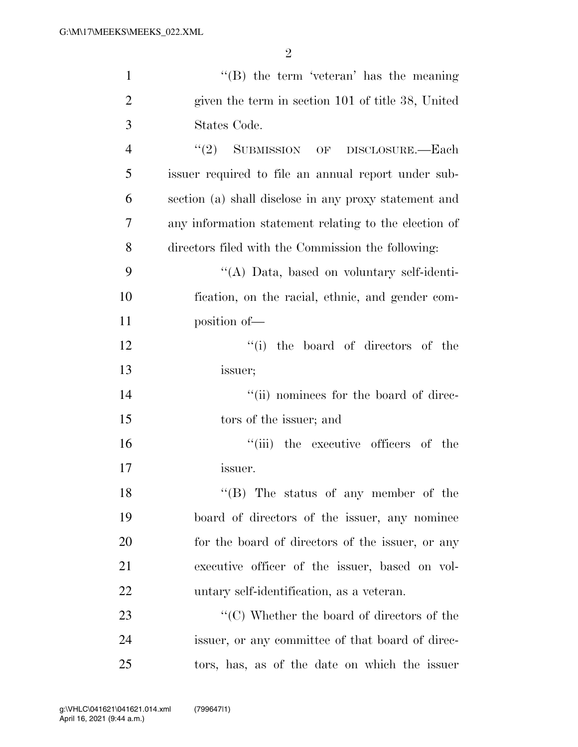| $\mathbf{1}$   | $\lq\lq (B)$ the term 'veteran' has the meaning                 |
|----------------|-----------------------------------------------------------------|
| $\overline{2}$ | given the term in section 101 of title 38, United               |
| 3              | States Code.                                                    |
| $\overline{4}$ | "(2) SUBMISSION OF DISCLOSURE.—Each                             |
| 5              | issuer required to file an annual report under sub-             |
| 6              | section (a) shall disclose in any proxy statement and           |
| 7              | any information statement relating to the election of           |
| 8              | directors filed with the Commission the following:              |
| 9              | "(A) Data, based on voluntary self-identi-                      |
| 10             | fication, on the racial, ethnic, and gender com-                |
| 11             | position of-                                                    |
| 12             | "(i) the board of directors of the                              |
| 13             | issuer;                                                         |
| 14             | "(ii) nominees for the board of direc-                          |
| 15             | tors of the issuer; and                                         |
| 16             | "(iii) the executive officers of the                            |
| 17             | issuer.                                                         |
| 18             | "(B) The status of any member of the                            |
| 19             | board of directors of the issuer, any nominee                   |
| 20             | for the board of directors of the issuer, or any                |
| 21             | executive officer of the issuer, based on vol-                  |
| 22             | untary self-identification, as a veteran.                       |
| 23             | $\lq\lq$ <sup>"</sup> (C) Whether the board of directors of the |
| 24             | issuer, or any committee of that board of direc-                |
| 25             | tors, has, as of the date on which the issuer                   |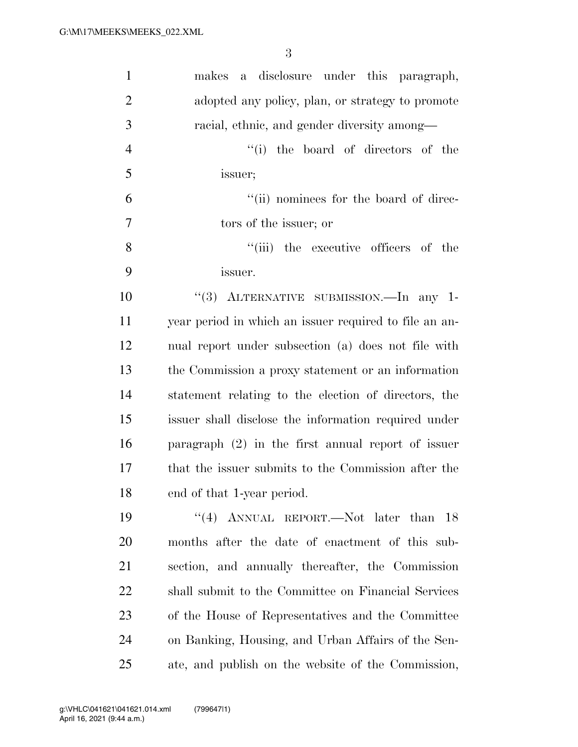| $\mathbf{1}$   | a disclosure under this paragraph,<br>makes            |
|----------------|--------------------------------------------------------|
| $\overline{2}$ | adopted any policy, plan, or strategy to promote       |
| 3              | racial, ethnic, and gender diversity among—            |
| $\overline{4}$ | "(i) the board of directors of the                     |
| 5              | issuer;                                                |
| 6              | "(ii) nominees for the board of direc-                 |
| 7              | tors of the issuer; or                                 |
| 8              | ``(iii)<br>the executive officers of the               |
| 9              | issuer.                                                |
| 10             | "(3) ALTERNATIVE SUBMISSION.—In any 1-                 |
| 11             | year period in which an issuer required to file an an- |
| 12             | nual report under subsection (a) does not file with    |
| 13             | the Commission a proxy statement or an information     |
| 14             | statement relating to the election of directors, the   |
| 15             | issuer shall disclose the information required under   |
| 16             | paragraph $(2)$ in the first annual report of issuer   |
| 17             | that the issuer submits to the Commission after the    |
| 18             | end of that 1-year period.                             |
| 19             | "(4) ANNUAL REPORT.—Not later than $18$                |
| 20             | months after the date of enactment of this sub-        |
| 21             | section, and annually thereafter, the Commission       |
| 22             | shall submit to the Committee on Financial Services    |
| 23             | of the House of Representatives and the Committee      |
| 24             | on Banking, Housing, and Urban Affairs of the Sen-     |
| 25             | ate, and publish on the website of the Commission,     |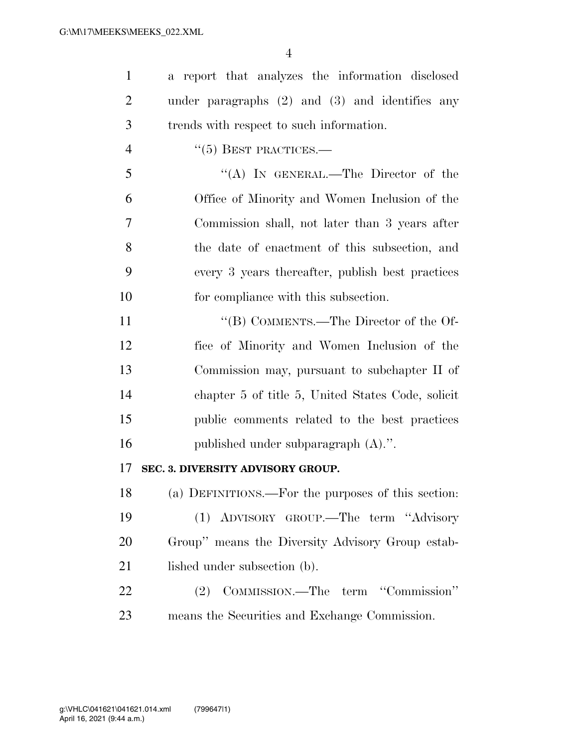| $\mathbf{1}$   | a report that analyzes the information disclosed    |
|----------------|-----------------------------------------------------|
| $\overline{2}$ | under paragraphs $(2)$ and $(3)$ and identifies any |
| 3              | trends with respect to such information.            |
| $\overline{4}$ | $``(5)$ BEST PRACTICES.—                            |
| 5              | "(A) IN GENERAL.—The Director of the                |
| 6              | Office of Minority and Women Inclusion of the       |
| 7              | Commission shall, not later than 3 years after      |
| 8              | the date of enactment of this subsection, and       |
| 9              | every 3 years thereafter, publish best practices    |
| 10             | for compliance with this subsection.                |
| 11             | "(B) COMMENTS.—The Director of the Of-              |
| 12             | fice of Minority and Women Inclusion of the         |
| 13             | Commission may, pursuant to subchapter II of        |
| 14             | chapter 5 of title 5, United States Code, solicit   |
| 15             | public comments related to the best practices       |
| 16             | published under subparagraph $(A)$ .".              |
| 17             | SEC. 3. DIVERSITY ADVISORY GROUP.                   |
| 18             | (a) DEFINITIONS.—For the purposes of this section:  |
| 19             | ADVISORY GROUP.—The term "Advisory<br>(1)           |
| 20             | Group" means the Diversity Advisory Group estab-    |
| 21             | lished under subsection (b).                        |
|                |                                                     |

 (2) COMMISSION.—The term ''Commission'' means the Securities and Exchange Commission.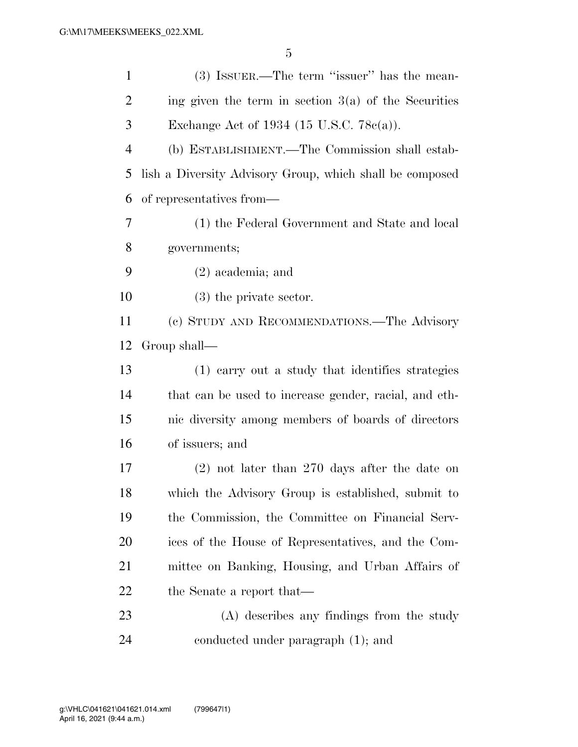| $\mathbf{1}$   | $(3)$ ISSUER.—The term "issuer" has the mean-            |
|----------------|----------------------------------------------------------|
| $\overline{2}$ | ing given the term in section $3(a)$ of the Securities   |
| 3              | Exchange Act of 1934 (15 U.S.C. $78c(a)$ ).              |
| $\overline{4}$ | (b) ESTABLISHMENT.—The Commission shall estab-           |
| 5              | lish a Diversity Advisory Group, which shall be composed |
| 6              | of representatives from—                                 |
| 7              | (1) the Federal Government and State and local           |
| 8              | governments;                                             |
| 9              | $(2)$ academia; and                                      |
| 10             | $(3)$ the private sector.                                |
| 11             | (c) STUDY AND RECOMMENDATIONS.—The Advisory              |
| 12             | Group shall—                                             |
| 13             | (1) earry out a study that identifies strategies         |
| 14             | that can be used to increase gender, racial, and eth-    |
| 15             | nic diversity among members of boards of directors       |
| 16             | of issuers; and                                          |
| 17             | $(2)$ not later than 270 days after the date on          |
| 18             | which the Advisory Group is established, submit to       |
| 19             | the Commission, the Committee on Financial Serv-         |
| 20             | ices of the House of Representatives, and the Com-       |
| 21             | mittee on Banking, Housing, and Urban Affairs of         |
| 22             | the Senate a report that—                                |
| 23             | (A) describes any findings from the study                |
| 24             | conducted under paragraph (1); and                       |